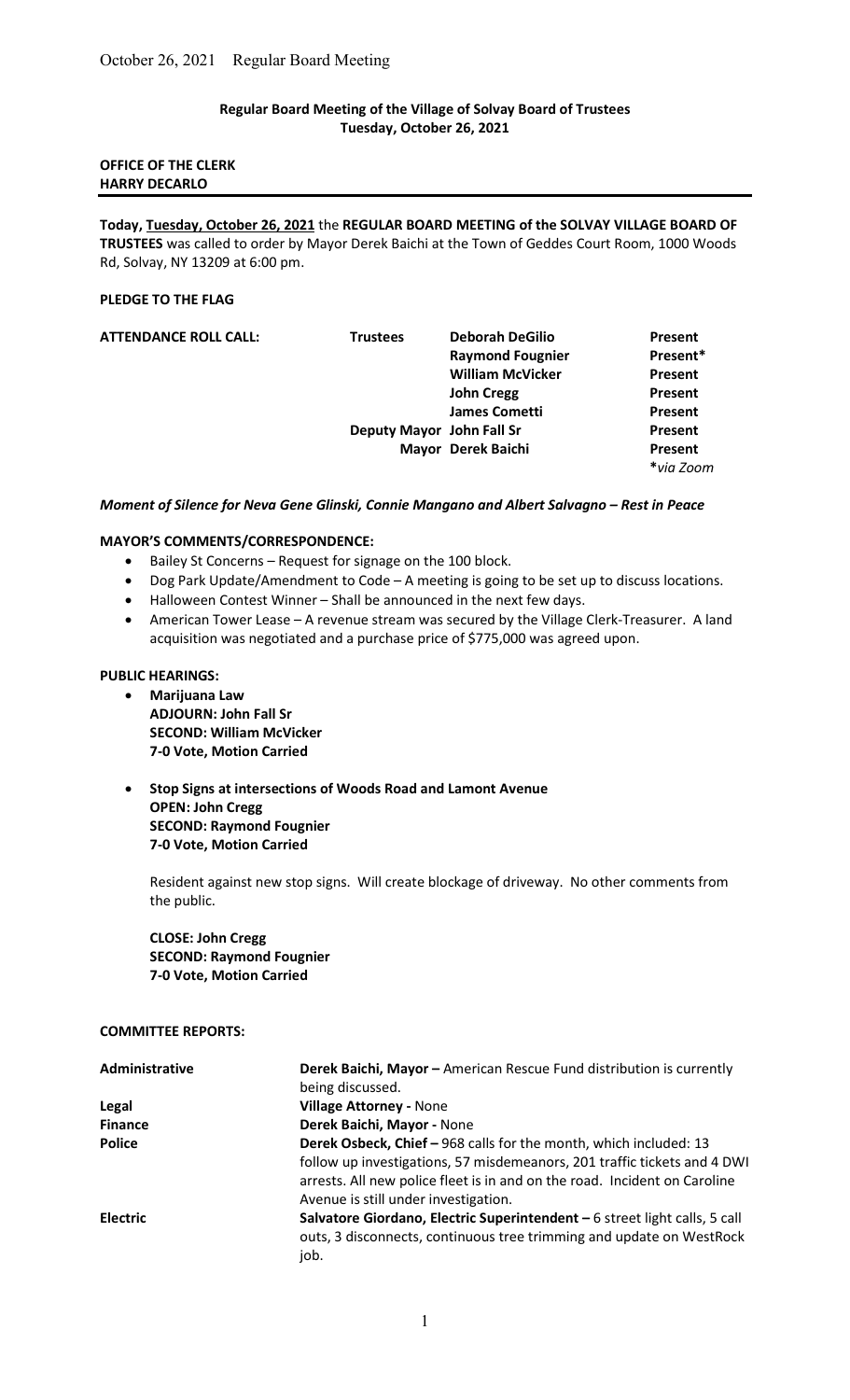## Regular Board Meeting of the Village of Solvay Board of Trustees Tuesday, October 26, 2021

# OFFICE OF THE CLERK HARRY DECARLO

Today, Tuesday, October 26, 2021 the REGULAR BOARD MEETING of the SOLVAY VILLAGE BOARD OF TRUSTEES was called to order by Mayor Derek Baichi at the Town of Geddes Court Room, 1000 Woods Rd, Solvay, NY 13209 at 6:00 pm.

#### PLEDGE TO THE FLAG

| <b>ATTENDANCE ROLL CALL:</b> | <b>Trustees</b>           | <b>Deborah DeGilio</b>  | Present   |
|------------------------------|---------------------------|-------------------------|-----------|
|                              |                           | <b>Raymond Fougnier</b> | Present*  |
|                              |                           | <b>William McVicker</b> | Present   |
|                              |                           | <b>John Cregg</b>       | Present   |
|                              |                           | <b>James Cometti</b>    | Present   |
|                              | Deputy Mayor John Fall Sr |                         | Present   |
|                              |                           | Mayor Derek Baichi      | Present   |
|                              |                           |                         | *via Zoom |

#### Moment of Silence for Neva Gene Glinski, Connie Mangano and Albert Salvagno – Rest in Peace

# MAYOR'S COMMENTS/CORRESPONDENCE:

- Bailey St Concerns Request for signage on the 100 block.
- Dog Park Update/Amendment to Code A meeting is going to be set up to discuss locations.
- Halloween Contest Winner Shall be announced in the next few days.
- American Tower Lease A revenue stream was secured by the Village Clerk-Treasurer. A land acquisition was negotiated and a purchase price of \$775,000 was agreed upon.

## PUBLIC HEARINGS:

- Marijuana Law ADJOURN: John Fall Sr SECOND: William McVicker 7-0 Vote, Motion Carried
- Stop Signs at intersections of Woods Road and Lamont Avenue OPEN: John Cregg SECOND: Raymond Fougnier 7-0 Vote, Motion Carried

Resident against new stop signs. Will create blockage of driveway. No other comments from the public.

CLOSE: John Cregg SECOND: Raymond Fougnier 7-0 Vote, Motion Carried

## COMMITTEE REPORTS:

| Administrative  | Derek Baichi, Mayor - American Rescue Fund distribution is currently<br>being discussed.                                                                                                                                                                           |
|-----------------|--------------------------------------------------------------------------------------------------------------------------------------------------------------------------------------------------------------------------------------------------------------------|
| Legal           | <b>Village Attorney - None</b>                                                                                                                                                                                                                                     |
| <b>Finance</b>  | Derek Baichi, Mayor - None                                                                                                                                                                                                                                         |
| <b>Police</b>   | Derek Osbeck, Chief - 968 calls for the month, which included: 13<br>follow up investigations, 57 misdemeanors, 201 traffic tickets and 4 DWI<br>arrests. All new police fleet is in and on the road. Incident on Caroline<br>Avenue is still under investigation. |
| <b>Electric</b> | Salvatore Giordano, Electric Superintendent - 6 street light calls, 5 call<br>outs, 3 disconnects, continuous tree trimming and update on WestRock<br>job.                                                                                                         |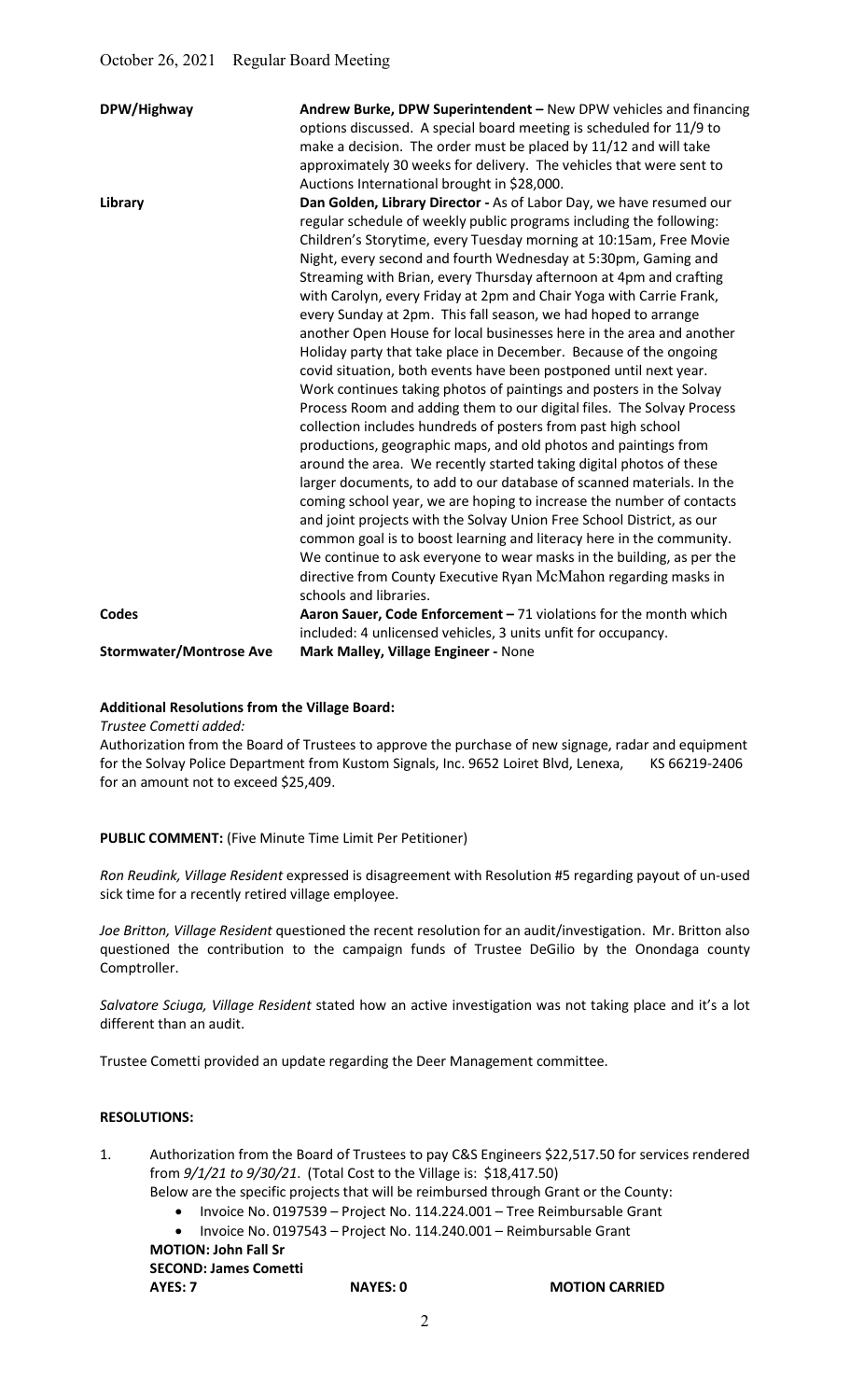| DPW/Highway                    | Andrew Burke, DPW Superintendent - New DPW vehicles and financing<br>options discussed. A special board meeting is scheduled for 11/9 to<br>make a decision. The order must be placed by 11/12 and will take<br>approximately 30 weeks for delivery. The vehicles that were sent to<br>Auctions International brought in \$28,000.                                                                                                                                                                                                                                                                                                                                                                                                                                                                                                                                                                                                                                                                                                                                                                                                                                                                                                                                                                                                                                                                                                                                                                                                                     |
|--------------------------------|--------------------------------------------------------------------------------------------------------------------------------------------------------------------------------------------------------------------------------------------------------------------------------------------------------------------------------------------------------------------------------------------------------------------------------------------------------------------------------------------------------------------------------------------------------------------------------------------------------------------------------------------------------------------------------------------------------------------------------------------------------------------------------------------------------------------------------------------------------------------------------------------------------------------------------------------------------------------------------------------------------------------------------------------------------------------------------------------------------------------------------------------------------------------------------------------------------------------------------------------------------------------------------------------------------------------------------------------------------------------------------------------------------------------------------------------------------------------------------------------------------------------------------------------------------|
| Library                        | Dan Golden, Library Director - As of Labor Day, we have resumed our<br>regular schedule of weekly public programs including the following:<br>Children's Storytime, every Tuesday morning at 10:15am, Free Movie<br>Night, every second and fourth Wednesday at 5:30pm, Gaming and<br>Streaming with Brian, every Thursday afternoon at 4pm and crafting<br>with Carolyn, every Friday at 2pm and Chair Yoga with Carrie Frank,<br>every Sunday at 2pm. This fall season, we had hoped to arrange<br>another Open House for local businesses here in the area and another<br>Holiday party that take place in December. Because of the ongoing<br>covid situation, both events have been postponed until next year.<br>Work continues taking photos of paintings and posters in the Solvay<br>Process Room and adding them to our digital files. The Solvay Process<br>collection includes hundreds of posters from past high school<br>productions, geographic maps, and old photos and paintings from<br>around the area. We recently started taking digital photos of these<br>larger documents, to add to our database of scanned materials. In the<br>coming school year, we are hoping to increase the number of contacts<br>and joint projects with the Solvay Union Free School District, as our<br>common goal is to boost learning and literacy here in the community.<br>We continue to ask everyone to wear masks in the building, as per the<br>directive from County Executive Ryan McMahon regarding masks in<br>schools and libraries. |
| <b>Codes</b>                   | Aaron Sauer, Code Enforcement - 71 violations for the month which<br>included: 4 unlicensed vehicles, 3 units unfit for occupancy.                                                                                                                                                                                                                                                                                                                                                                                                                                                                                                                                                                                                                                                                                                                                                                                                                                                                                                                                                                                                                                                                                                                                                                                                                                                                                                                                                                                                                     |
| <b>Stormwater/Montrose Ave</b> | Mark Malley, Village Engineer - None                                                                                                                                                                                                                                                                                                                                                                                                                                                                                                                                                                                                                                                                                                                                                                                                                                                                                                                                                                                                                                                                                                                                                                                                                                                                                                                                                                                                                                                                                                                   |

## Additional Resolutions from the Village Board:

Trustee Cometti added:

Authorization from the Board of Trustees to approve the purchase of new signage, radar and equipment for the Solvay Police Department from Kustom Signals, Inc. 9652 Loiret Blvd, Lenexa, KS 66219-2406 for an amount not to exceed \$25,409.

# PUBLIC COMMENT: (Five Minute Time Limit Per Petitioner)

Ron Reudink, Village Resident expressed is disagreement with Resolution #5 regarding payout of un-used sick time for a recently retired village employee.

Joe Britton, Village Resident questioned the recent resolution for an audit/investigation. Mr. Britton also questioned the contribution to the campaign funds of Trustee DeGilio by the Onondaga county Comptroller.

Salvatore Sciuga, Village Resident stated how an active investigation was not taking place and it's a lot different than an audit.

Trustee Cometti provided an update regarding the Deer Management committee.

#### RESOLUTIONS:

- 1. Authorization from the Board of Trustees to pay C&S Engineers \$22,517.50 for services rendered from 9/1/21 to 9/30/21. (Total Cost to the Village is: \$18,417.50)
	- Below are the specific projects that will be reimbursed through Grant or the County:
		- Invoice No. 0197539 Project No. 114.224.001 Tree Reimbursable Grant
		- Invoice No. 0197543 Project No. 114.240.001 Reimbursable Grant

 MOTION: John Fall Sr SECOND: James Cometti

AYES: 7 NAYES: 0 MOTION CARRIED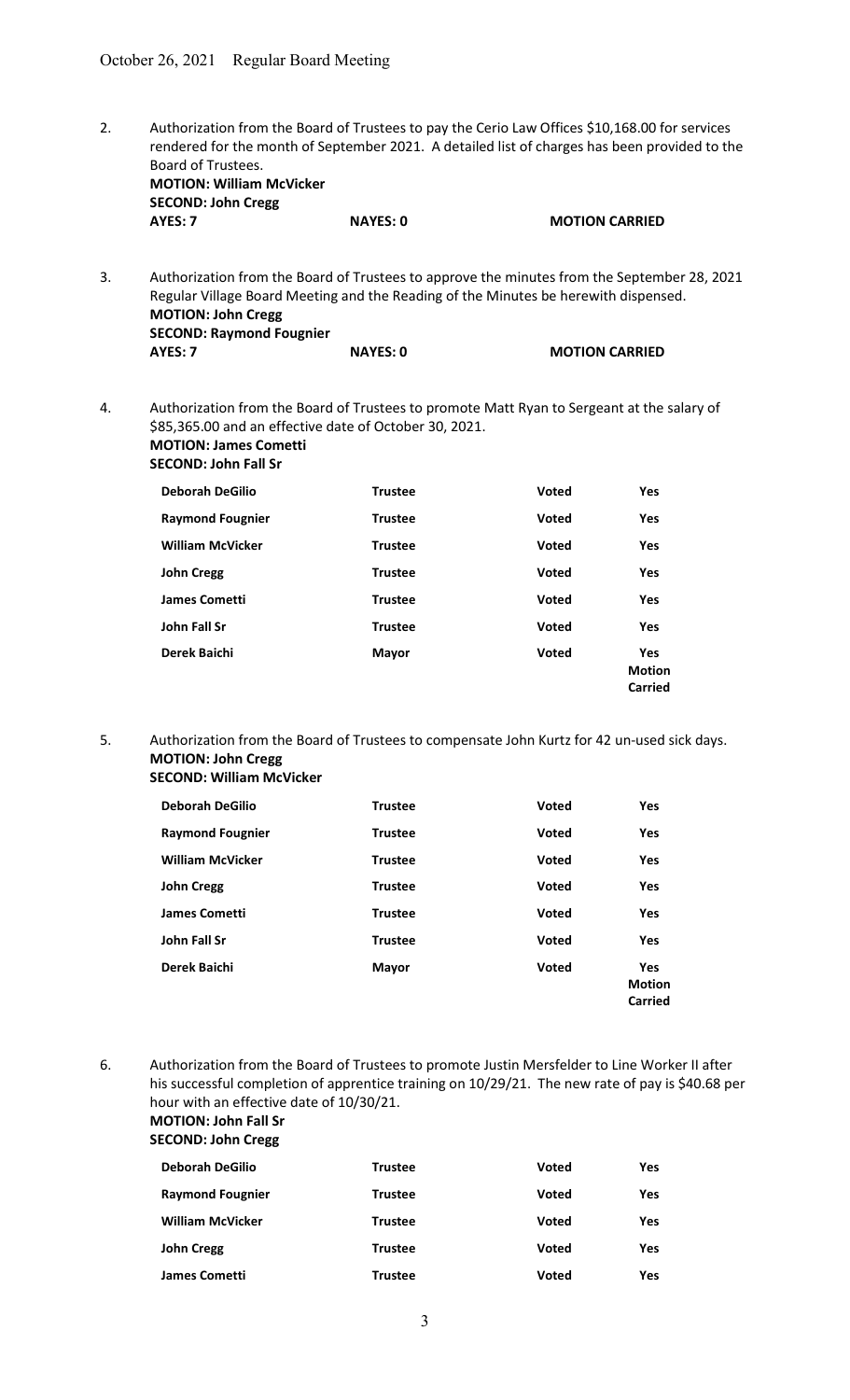2. Authorization from the Board of Trustees to pay the Cerio Law Offices \$10,168.00 for services rendered for the month of September 2021. A detailed list of charges has been provided to the Board of Trustees. MOTION: William McVicker

| <b>SECOND: John Cregg</b> |                 |                       |
|---------------------------|-----------------|-----------------------|
| AYES: 7                   | <b>NAYES: 0</b> | <b>MOTION CARRIED</b> |

3. Authorization from the Board of Trustees to approve the minutes from the September 28, 2021 Regular Village Board Meeting and the Reading of the Minutes be herewith dispensed. MOTION: John Cregg SECOND: Raymond Fougnier<br>AYES: 7 NAYES: 0 MOTION CARRIED

4. Authorization from the Board of Trustees to promote Matt Ryan to Sergeant at the salary of \$85,365.00 and an effective date of October 30, 2021. MOTION: James Cometti SECOND: John Fall Sr

| <b>Deborah DeGilio</b>  | <b>Trustee</b> | <b>Voted</b> | Yes                                    |
|-------------------------|----------------|--------------|----------------------------------------|
| <b>Raymond Fougnier</b> | <b>Trustee</b> | <b>Voted</b> | Yes                                    |
| <b>William McVicker</b> | <b>Trustee</b> | <b>Voted</b> | <b>Yes</b>                             |
| <b>John Cregg</b>       | <b>Trustee</b> | <b>Voted</b> | Yes                                    |
| <b>James Cometti</b>    | <b>Trustee</b> | <b>Voted</b> | Yes                                    |
| John Fall Sr            | <b>Trustee</b> | <b>Voted</b> | Yes                                    |
| Derek Baichi            | <b>Mayor</b>   | <b>Voted</b> | Yes<br><b>Motion</b><br><b>Carried</b> |

5. Authorization from the Board of Trustees to compensate John Kurtz for 42 un-used sick days. MOTION: John Cregg

| Deborah DeGilio         | <b>Trustee</b> | <b>Voted</b> | Yes                                           |
|-------------------------|----------------|--------------|-----------------------------------------------|
| <b>Raymond Fougnier</b> | <b>Trustee</b> | <b>Voted</b> | Yes                                           |
| <b>William McVicker</b> | <b>Trustee</b> | <b>Voted</b> | Yes                                           |
| John Cregg              | <b>Trustee</b> | <b>Voted</b> | Yes                                           |
| James Cometti           | <b>Trustee</b> | Voted        | Yes                                           |
| John Fall Sr            | <b>Trustee</b> | <b>Voted</b> | Yes                                           |
| Derek Baichi            | <b>Mayor</b>   | <b>Voted</b> | <b>Yes</b><br><b>Motion</b><br><b>Carried</b> |

6. Authorization from the Board of Trustees to promote Justin Mersfelder to Line Worker II after his successful completion of apprentice training on 10/29/21. The new rate of pay is \$40.68 per hour with an effective date of 10/30/21. MOTION: John Fall Sr

SECOND: John Cregg

| <b>Deborah DeGilio</b>  | <b>Trustee</b> | Voted        | <b>Yes</b> |
|-------------------------|----------------|--------------|------------|
| <b>Raymond Fougnier</b> | Trustee        | <b>Voted</b> | <b>Yes</b> |
| <b>William McVicker</b> | <b>Trustee</b> | <b>Voted</b> | <b>Yes</b> |
| <b>John Cregg</b>       | <b>Trustee</b> | <b>Voted</b> | Yes        |
| <b>James Cometti</b>    | <b>Trustee</b> | <b>Voted</b> | Yes        |